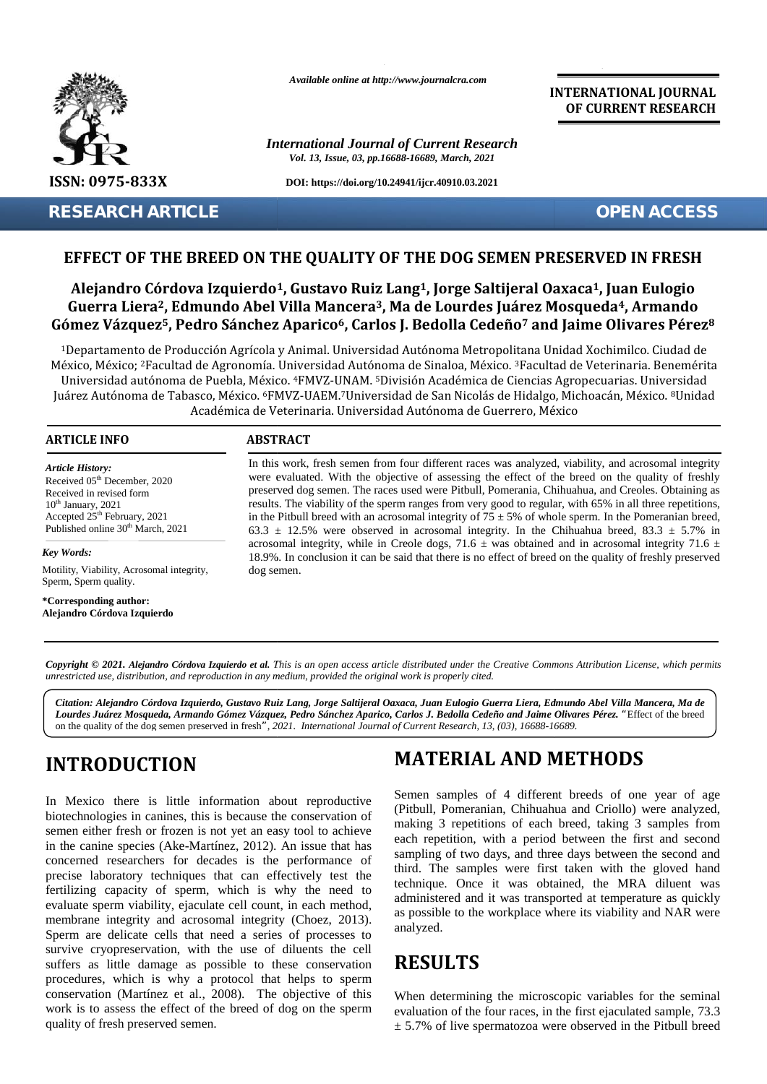

*Available online at http://www.journalcra.com*

*International Journal of Current Research Vol. 13, Issue, 03, pp.16688-16689, March, 2021*

**DOI: https://doi.org/10.24941/ijcr.40910.03.2021**

**RESEARCH ARTICLE OPEN ACCESS**

**INTERNATIONAL JOURNAL OF CURRENT RESEARCH**

#### **EFFECT OF THE BREED ON THE QUALITY OF THE DOG SEMEN PRESERVED IN FRESH EFFECT**

### **Alejandro Córdova Izquierdo1, Gustavo Ruiz Lang1, Jorge Saltijeral Oaxaca1, Juan Eulogio Guerra Liera2, Edmundo Abel Villa Mancera3, Ma de Lourdes Juárez Mosqueda4, Armando** Alejandro Córdova Izquierdo<sup>1</sup>, Gustavo Ruiz Lang<sup>1</sup>, Jorge Saltijeral Oaxaca<sup>1</sup>, Juan Eulogio<br>Guerra Liera<sup>2</sup>, Edmundo Abel Villa Mancera<sup>3</sup>, Ma de Lourdes Juárez Mosqueda<sup>4</sup>, Armando<br>Gómez Vázquez<sup>5</sup>, Pedro Sánchez Apari

1Departamento de Producción Agrícola y Animal. Universidad Autónoma Metropolitana Unidad Xochimilco. Ciudad de México, México; <sup>2</sup>Facultad de Agronomía. Universidad Autónoma de Sinaloa, México. <sup>3</sup>Facultad de Veterinaria. Benemérita 3Universidad autónoma de Puebla, México. <sup>4</sup>FMVZ-UNAM. <sup>5</sup>División Académica de Ciencias Agropecuarias. Universidad -Universidad autónoma de Puebla, México. \*FMVZ-UNAM. <sup>5</sup>División Académica de Ciencias Agropecuarias. Universidad<br>Juárez Autónoma de Tabasco, México. <sup>6</sup>FMVZ-UAEM.<sup>7</sup>Universidad de San Nicolás de Hidalgo, Michoacán, México Académica de Veterinaria. Universidad Autónoma de Guerrero, México Veterinaria. Universidad Autónoma **Alejandro Córdova Izquierdo<sup>1</sup>, Gustavo Ruiz Lang<sup>1</sup>, Jorge Saltijeral Oaxaca<sup>1</sup>, Juan Eulogio<br>
Guerra Liera 2, Edmundo Abel Villa Mancera<sup>3</sup>, Ma de Lourdes [várez Mosqueda<sup>4</sup>, Armando<br>
16 Gomez Vázquez<sup>5</sup>, Pedro Sánchez** 

#### **ARTICLE INFO ABSTRACT ARTICLE ABSTRACT**

*Article History: Article History:* Received 05<sup>th</sup> December, 2020 Received in revised form Received in revised form  $10<sup>th</sup>$  January, 2021 Received in revised form<br>  $10^{\text{th}}$  January, 2021<br>
Accepted 25<sup>th</sup> February, 2021 Published online  $30<sup>th</sup>$  March, 2021

*Key Words:*

Motility, Viability, Acrosomal integrity, Viability, Acrosomal integrity,Sperm, Sperm quality.

**\*Corresponding author: Alejandro Córdova Izquierdo**

In this work, fresh semen from four different races was analyzed, viability, and acrosomal integrity were evaluated. With the objective of assessing the effect of the breed on the quality of freshly preserved dog semen. The races used were Pitbull, Pomerania, Chihuahua, and Creoles. Obtaining as In this work, fresh semen from four different races was analyzed, viability, and acrosomal integrity were evaluated. With the objective of assessing the effect of the breed on the quality of freshly preserved dog semen. Th in the Pitbull breed with an acrosomal integrity of  $75 \pm 5\%$  of whole sperm. In the Pomeranian breed, 63.3  $\pm$  12.5% were observed in acrosomal integrity. In the Chihuahua breed, 83.3  $\pm$  5.7% in acrosomal integrity, while in Creole dogs, 71.6  $\pm$  was obtained and in acrosomal integrity 71.6  $\pm$ 18.9%. In conclusion it can be said that there is no effect of breed on the quality of freshly preserved dog semen. Pitbull breed with an acrosomal integrity of  $75 \pm 5%$  of whole sperm. In the  $\pm$  12.5% were observed in acrosomal integrity. In the Chihuahua breed omal integrity, while in Creole dogs, 71.6  $\pm$  was obtained and in acr **EXERCITE SEPT ARTICLE**<br> **EXERCIT OF THE SPREED ON THE QUALITY OF THE DOG SEMEN PRESERVED IN FRESH**<br> **Alejandro Córdova Izquierdo<sup>1</sup>, Gustavo Ruiz Lang<sup>1</sup>, Jorge Saltijeral Oaxaca<sup>1</sup>, Juan Eulogio<br>
Gierra Liera<sup>2</sup>, Edmundo** *IFR* 2020 were evaluated. With the objective of assessing the effect of the breed on the quality of freshtrame, The mass used were Pituball, Pomerania, Chinabua, and Creoles. Obtaining the report of systems II, the Pituba

**Copyright © 2021. Alejandro Córdova Izquierdo et al.** This is an open access article distributed under the Creative Commons Attribution License, which permits<br>unrestricted use, distribution, and reproduction in any medium *unrestricted use,distribution, and reproduction in any medium, provided the original work is properly cited.*

**]** *Lourdes Juárez Mosqueda, Armando Gómez Vázquez, Pedro Sánchez Aparico, Carlos J. Bedolla Cedeño and Jaime Olivares Pérez. "*Effect of the breed *Citation: Alejandro Córdova Izquierdo, Gustavo Ruiz Lang, Jorge Saltijeral Oaxaca, Juan Eulogio Guerra Liera, Edmundo Abel Villa Mancera, Ma de* on the quality of the dog semen preserved in fresh*", 2021. International Journal of Current Research, 13, (03), 16688-16689.*

# **INTRODUCTION INTRODUCTION**

In Mexico there is little information about reproductive biotechnologies in canines, this is because the conservation of semen either fresh or frozen is not yet an easy tool to achieve in the canine species (Ake-Martínez, 2012). An issue that has concerned researchers for decades is the performance of precise laboratory techniques that can effectively test the fertilizing capacity of sperm, which is why the need to evaluate sperm viability, ejaculate cell count, in each method, membrane integrity and acrosomal integrity (Choez, 2013). Sperm are delicate cells that need a series of processes to survive cryopreservation, with the use of diluents the cell suffers as little damage as possible to these conservation procedures, which is why a protocol that helps to sperm conservation (Martínez et al., 2008). The objective of this conservation (Martínez et al., 2008). The objective of this When det work is to assess the effect of the breed of dog on the sperm evaluation quality of fresh preserved semen. In Mexico there is little information about reproductive<br>biotechnologies in canines, this is because the conservation of<br>general conservation of<br>semen either fresh or frozen is not yet an easy tool to achieve<br>in the canine **INTRODUCTION**<br>
In Mexico there is little information about reproductive<br>
line METHODS<br>
In Mexico there is little information about reproductive<br>
biotechnologies in canines, this is because the conservation of<br>
certical, be 2021<br>
were voilanted. Which the objective of assessing the Gilcci of the bread on the quality of Figure 1. The Shift China and Creation Columbus, and  $\frac{1}{2}$  and the sample for the spectra of the sample of the spectr Cliation: Alguein docher and the state of the state of the state of the state of the state. Hence the state and the state of the state and *Laime Citation* and *Laime Chienta Manuta Giverne Vasquez*, *Pedro Sinchez Apr* 

# **MATERIAL AND METHODS**

Semen samples of 4 different breeds of one year of age (Pitbull, Pomeranian, Chihuahua and Criollo) were analyzed, (Pitbull, Pomeranian, Chihuahua and Criollo) were analyzed, making 3 repetitions of each breed, taking 3 samples from each repetition, with a period between the first and second sampling of two days, and three days between the second and third. The samples were first taken with the gloved hand third. The samples were first taken with the gloved hand<br>technique. Once it was obtained, the MRA diluent was administered and it was transported at temperature as quickly as possible to the workplace where its viability and NAR were analyzed.

# **RESULTS**

When determining the microscopic variables for the seminal evaluation of the four races, in the first ejaculated sample, 73.3  $\pm$  5.7% of live spermatozoa were observed in the Pitbull breed